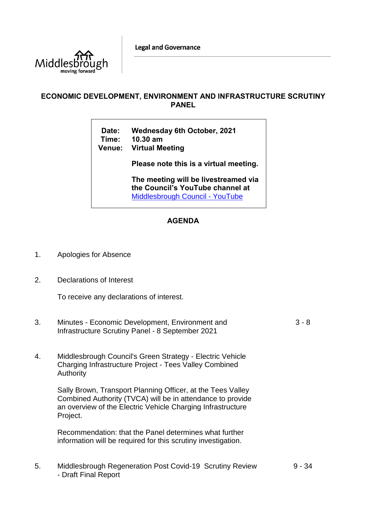**Legal and Governance** 



## **ECONOMIC DEVELOPMENT, ENVIRONMENT AND INFRASTRUCTURE SCRUTINY PANEL**

**Date: Wednesday 6th October, 2021 Time: 10.30 am Venue: Virtual Meeting**

**Please note this is a virtual meeting.** 

**The meeting will be livestreamed via the Council's YouTube channel at**  [Middlesbrough Council -](https://www.youtube.com/user/middlesbroughcouncil) YouTube

## **AGENDA**

- 1. Apologies for Absence
- 2. Declarations of Interest

To receive any declarations of interest.

- 3. Minutes Economic Development, Environment and Infrastructure Scrutiny Panel - 8 September 2021 3 - 8
- 4. Middlesbrough Council's Green Strategy Electric Vehicle Charging Infrastructure Project - Tees Valley Combined **Authority**

Sally Brown, Transport Planning Officer, at the Tees Valley Combined Authority (TVCA) will be in attendance to provide an overview of the Electric Vehicle Charging Infrastructure Project.

Recommendation: that the Panel determines what further information will be required for this scrutiny investigation.

5. Middlesbrough Regeneration Post Covid-19 Scrutiny Review - Draft Final Report

9 - 34